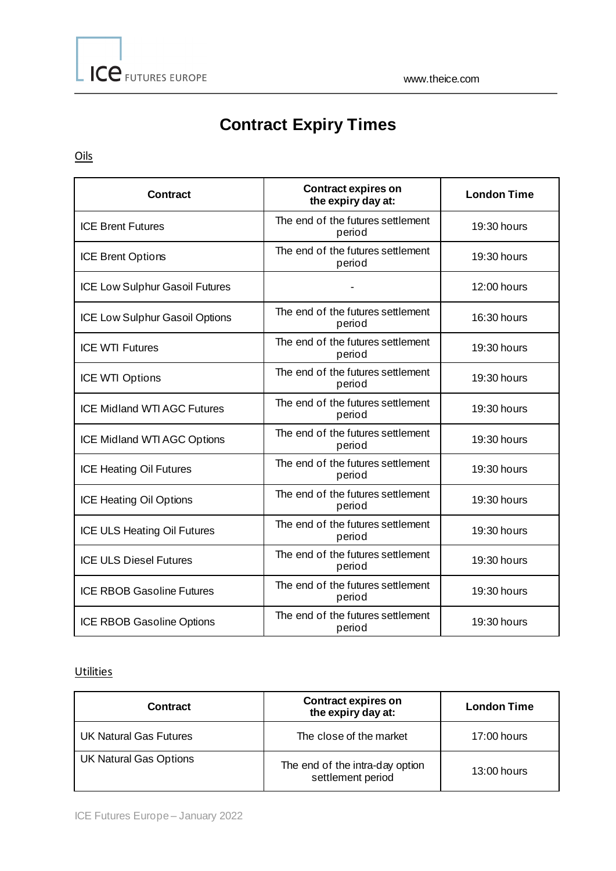# **Contract Expiry Times**

Oils

| <b>Contract</b>                    | <b>Contract expires on</b><br>the expiry day at: | <b>London Time</b> |
|------------------------------------|--------------------------------------------------|--------------------|
| <b>ICE Brent Futures</b>           | The end of the futures settlement<br>period      | 19:30 hours        |
| <b>ICE Brent Options</b>           | The end of the futures settlement<br>period      | 19:30 hours        |
| ICE Low Sulphur Gasoil Futures     |                                                  | 12:00 hours        |
| ICE Low Sulphur Gasoil Options     | The end of the futures settlement<br>period      | 16:30 hours        |
| <b>ICE WTI Futures</b>             | The end of the futures settlement<br>period      | 19:30 hours        |
| ICE WTI Options                    | The end of the futures settlement<br>period      | 19:30 hours        |
| <b>ICE Midland WTI AGC Futures</b> | The end of the futures settlement<br>period      | 19:30 hours        |
| ICE Midland WTI AGC Options        | The end of the futures settlement<br>period      | 19:30 hours        |
| <b>ICE Heating Oil Futures</b>     | The end of the futures settlement<br>period      | 19:30 hours        |
| <b>ICE Heating Oil Options</b>     | The end of the futures settlement<br>period      | 19:30 hours        |
| ICE ULS Heating Oil Futures        | The end of the futures settlement<br>period      | 19:30 hours        |
| <b>ICE ULS Diesel Futures</b>      | The end of the futures settlement<br>period      | 19:30 hours        |
| <b>ICE RBOB Gasoline Futures</b>   | The end of the futures settlement<br>period      | 19:30 hours        |
| <b>ICE RBOB Gasoline Options</b>   | The end of the futures settlement<br>period      | 19:30 hours        |

### **Utilities**

| <b>Contract</b>               | <b>Contract expires on</b><br>the expiry day at:     | <b>London Time</b> |
|-------------------------------|------------------------------------------------------|--------------------|
| UK Natural Gas Futures        | The close of the market                              | $17:00$ hours      |
| <b>UK Natural Gas Options</b> | The end of the intra-day option<br>settlement period | $13:00$ hours      |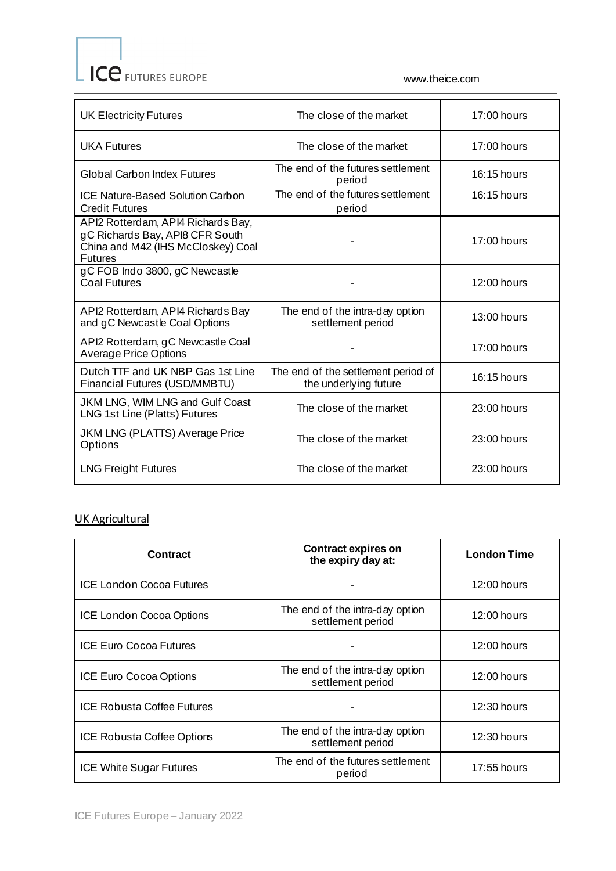www.theice.com

| <b>UK Electricity Futures</b>                                                                                                 | The close of the market                                      | 17:00 hours   |
|-------------------------------------------------------------------------------------------------------------------------------|--------------------------------------------------------------|---------------|
| <b>UKA Futures</b>                                                                                                            | The close of the market                                      | $17:00$ hours |
| <b>Global Carbon Index Futures</b>                                                                                            | The end of the futures settlement<br>period                  | 16:15 hours   |
| ICE Nature-Based Solution Carbon<br><b>Credit Futures</b>                                                                     | The end of the futures settlement<br>period                  | 16:15 hours   |
| API2 Rotterdam, API4 Richards Bay,<br>gC Richards Bay, API8 CFR South<br>China and M42 (IHS McCloskey) Coal<br><b>Futures</b> |                                                              | $17:00$ hours |
| gC FOB Indo 3800, gC Newcastle<br>Coal Futures                                                                                |                                                              | 12:00 hours   |
| API2 Rotterdam, API4 Richards Bay<br>and gC Newcastle Coal Options                                                            | The end of the intra-day option<br>settlement period         | 13:00 hours   |
| API2 Rotterdam, gC Newcastle Coal<br><b>Average Price Options</b>                                                             |                                                              | 17:00 hours   |
| Dutch TTF and UK NBP Gas 1st Line<br>Financial Futures (USD/MMBTU)                                                            | The end of the settlement period of<br>the underlying future | 16:15 hours   |
| JKM LNG, WIM LNG and Gulf Coast<br>LNG 1st Line (Platts) Futures                                                              | The close of the market                                      | 23:00 hours   |
| <b>JKM LNG (PLATTS) Average Price</b><br>Options                                                                              | The close of the market                                      | 23:00 hours   |
| <b>LNG Freight Futures</b>                                                                                                    | The close of the market                                      | 23:00 hours   |

## UK Agricultural

| <b>Contract</b>                   | <b>Contract expires on</b><br>the expiry day at:     | <b>London Time</b> |
|-----------------------------------|------------------------------------------------------|--------------------|
| <b>ICE London Cocoa Futures</b>   |                                                      | 12:00 hours        |
| <b>ICE London Cocoa Options</b>   | The end of the intra-day option<br>settlement period | $12:00$ hours      |
| <b>ICE Euro Cocoa Futures</b>     |                                                      | $12:00$ hours      |
| <b>ICE Euro Cocoa Options</b>     | The end of the intra-day option<br>settlement period | $12:00$ hours      |
| <b>ICE Robusta Coffee Futures</b> |                                                      | 12:30 hours        |
| <b>ICE Robusta Coffee Options</b> | The end of the intra-day option<br>settlement period | 12:30 hours        |
| <b>ICE White Sugar Futures</b>    | The end of the futures settlement<br>period          | $17:55$ hours      |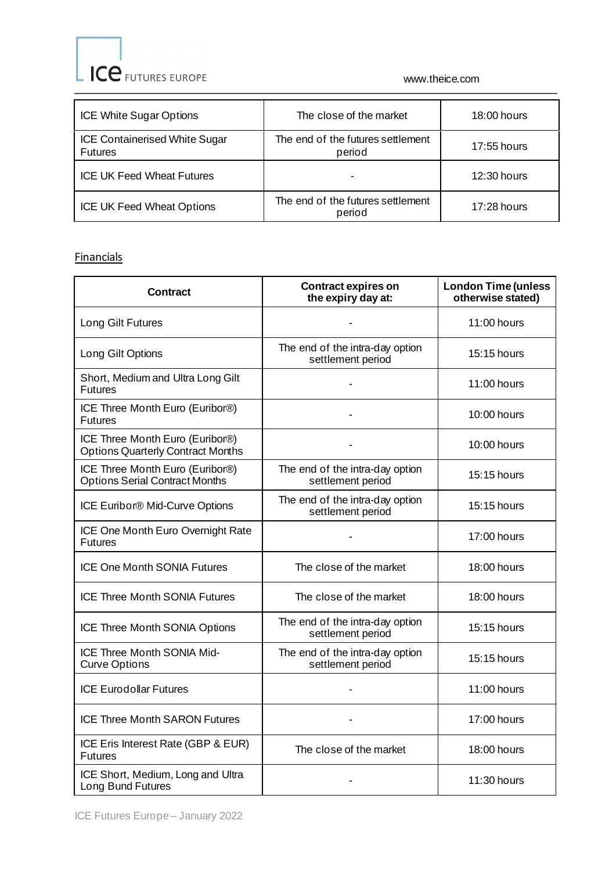ICE FUTURES EUROPE

www.theice.com

| <b>ICE White Sugar Options</b>                         | The close of the market                     | $18:00$ hours |
|--------------------------------------------------------|---------------------------------------------|---------------|
| <b>ICE Containerised White Sugar</b><br><b>Futures</b> | The end of the futures settlement<br>period | $17:55$ hours |
| <b>ICE UK Feed Wheat Futures</b>                       |                                             | $12:30$ hours |
| <b>ICE UK Feed Wheat Options</b>                       | The end of the futures settlement<br>period | $17:28$ hours |

## **Financials**

| <b>Contract</b>                                                             | <b>Contract expires on</b><br>the expiry day at:     | <b>London Time (unless</b><br>otherwise stated) |
|-----------------------------------------------------------------------------|------------------------------------------------------|-------------------------------------------------|
| Long Gilt Futures                                                           |                                                      | 11:00 hours                                     |
| Long Gilt Options                                                           | The end of the intra-day option<br>settlement period | 15:15 hours                                     |
| Short, Medium and Ultra Long Gilt<br><b>Futures</b>                         |                                                      | $11:00$ hours                                   |
| ICE Three Month Euro (Euribor®)<br><b>Futures</b>                           |                                                      | 10:00 hours                                     |
| ICE Three Month Euro (Euribor®)<br><b>Options Quarterly Contract Months</b> |                                                      | 10:00 hours                                     |
| ICE Three Month Euro (Euribor®)<br><b>Options Serial Contract Months</b>    | The end of the intra-day option<br>settlement period | 15:15 hours                                     |
| ICE Euribor® Mid-Curve Options                                              | The end of the intra-day option<br>settlement period | $15:15$ hours                                   |
| ICE One Month Euro Overnight Rate<br><b>Futures</b>                         |                                                      | 17:00 hours                                     |
| <b>ICE One Month SONIA Futures</b>                                          | The close of the market                              | 18:00 hours                                     |
| <b>ICE Three Month SONIA Futures</b>                                        | The close of the market                              | 18:00 hours                                     |
| ICE Three Month SONIA Options                                               | The end of the intra-day option<br>settlement period | 15:15 hours                                     |
| ICE Three Month SONIA Mid-<br><b>Curve Options</b>                          | The end of the intra-day option<br>settlement period | 15:15 hours                                     |
| <b>ICE Eurodollar Futures</b>                                               |                                                      | 11:00 hours                                     |
| <b>ICE Three Month SARON Futures</b>                                        |                                                      | 17:00 hours                                     |
| ICE Eris Interest Rate (GBP & EUR)<br><b>Futures</b>                        | The close of the market                              | 18:00 hours                                     |
| ICE Short, Medium, Long and Ultra<br>Long Bund Futures                      |                                                      | 11:30 hours                                     |